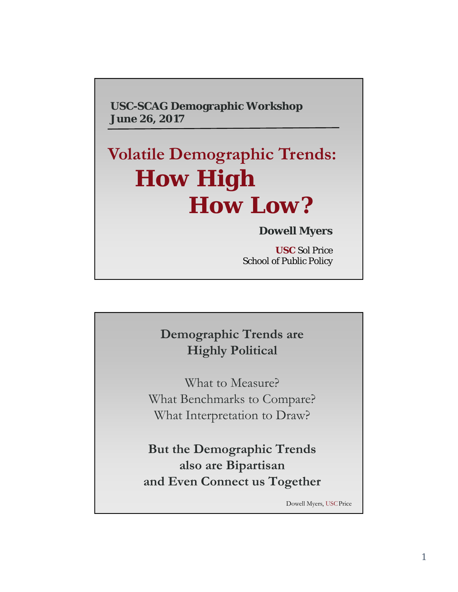**USC-SCAG Demographic Workshop June 26, 2017**

## **Volatile Demographic Trends:** *How High How Low?*

## **Dowell Myers**

**USC** Sol Price School of Public Policy

## **Demographic Trends are Highly Political**

What to Measure? What Benchmarks to Compare? What Interpretation to Draw?

**But the Demographic Trends also are Bipartisan and Even Connect us Together**

Dowell Myers, USCPrice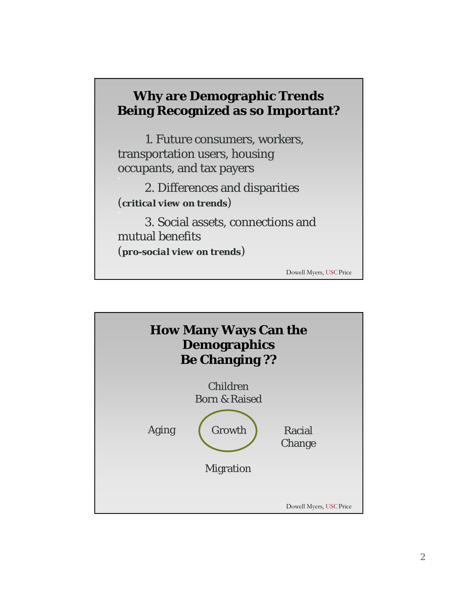## **Why are Demographic Trends Being Recognized as so Important?**

1. Future consumers, workers, transportation users, housing occupants, and tax payers

2. Differences and disparities (*critical view on trends*)

3. Social assets, connections and mutual benefits (*pro-social view on trends*)

Dowell Myers, USCPrice

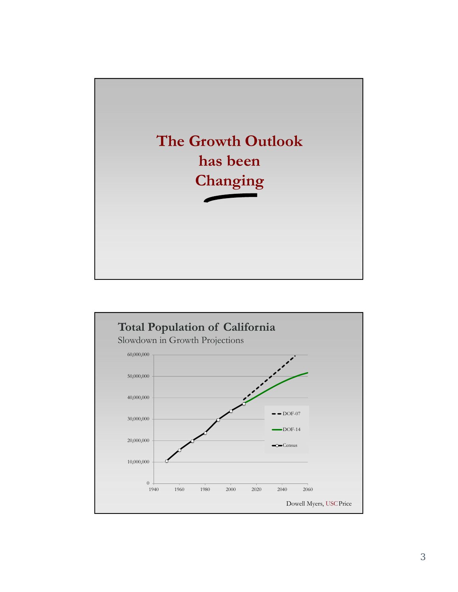

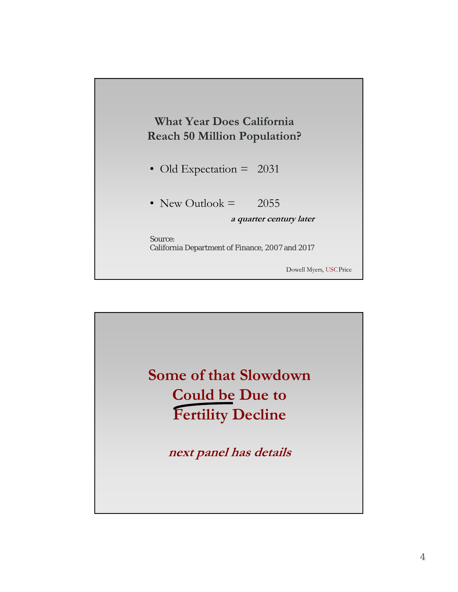

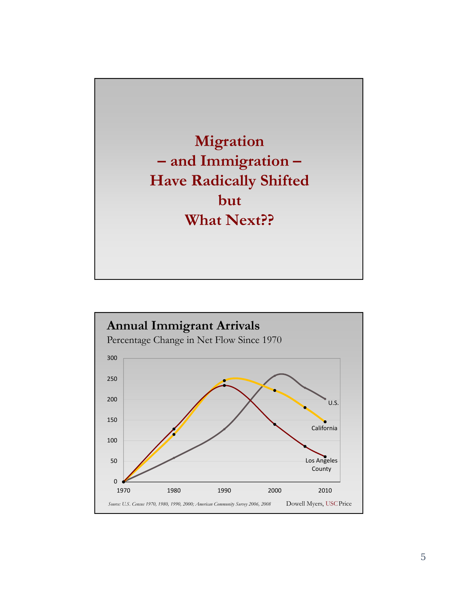

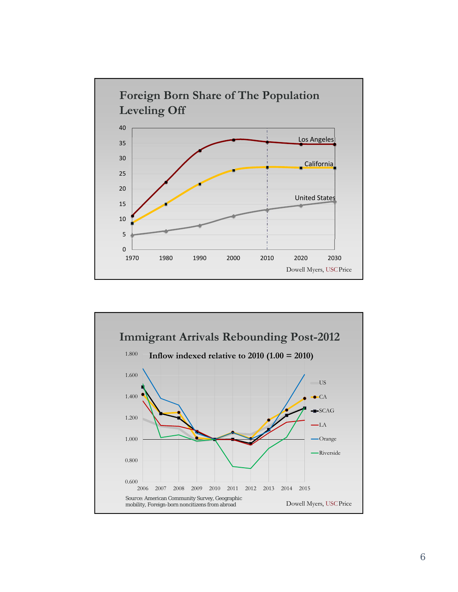

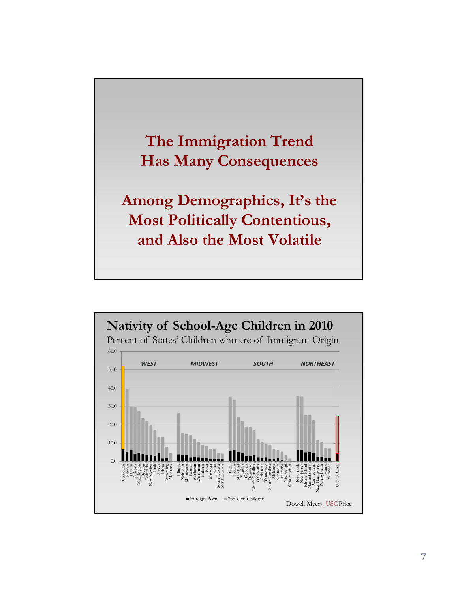

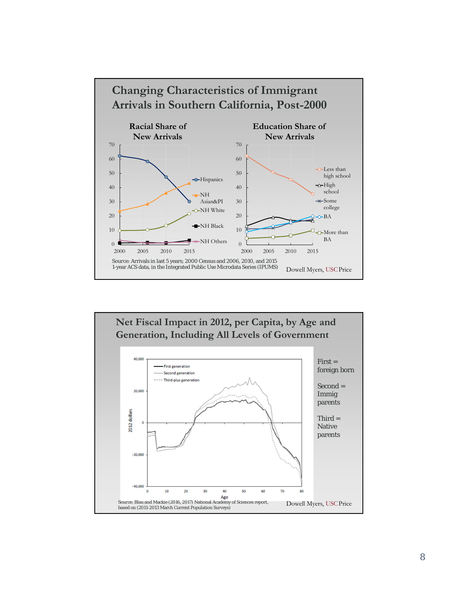

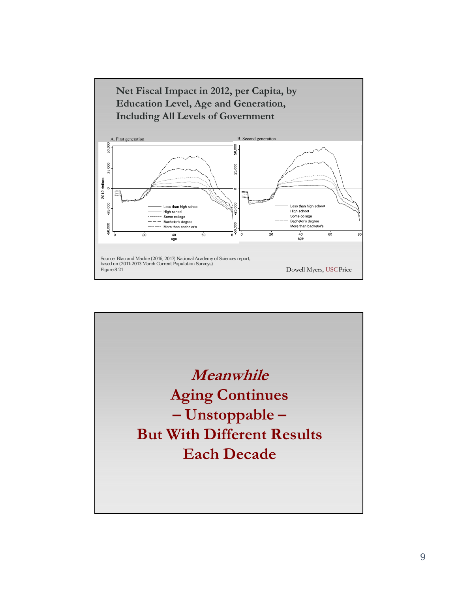

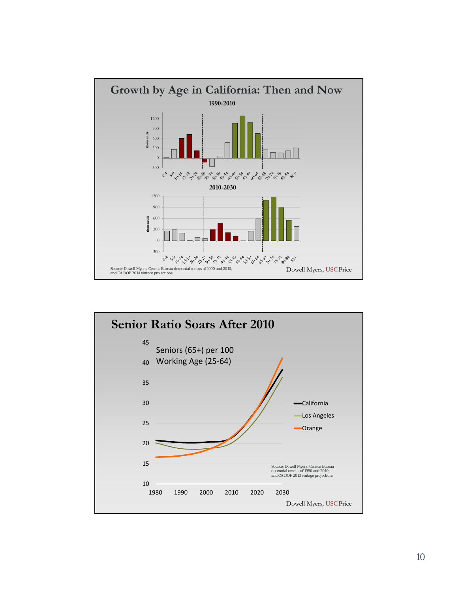

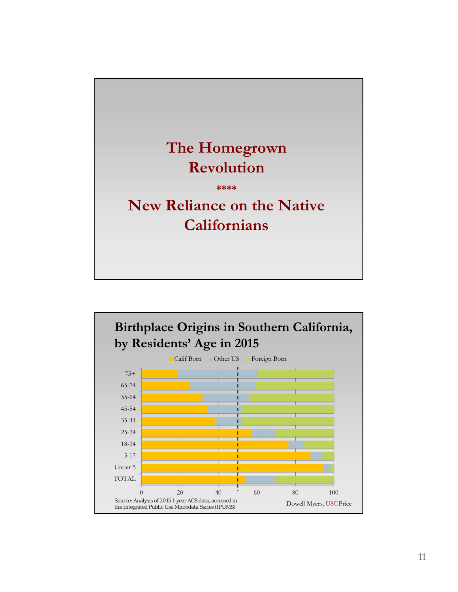